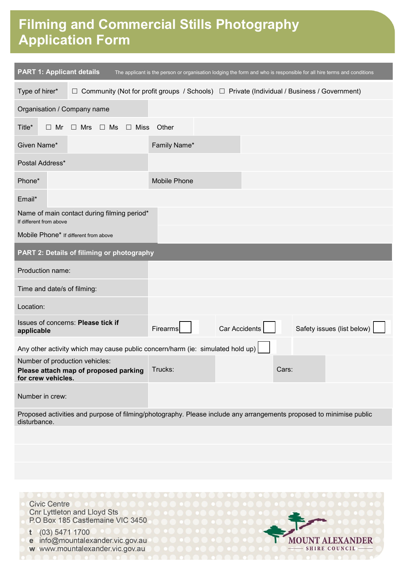# **Film Making and Commercial Stills Filming and Commercial Stills Photography Photography Application Form Application Form**

| <b>PART 1: Applicant details</b><br>The applicant is the person or organisation lodging the form and who is responsible for all hire terms and conditions |                                                                                |                     |               |                                                                                                        |
|-----------------------------------------------------------------------------------------------------------------------------------------------------------|--------------------------------------------------------------------------------|---------------------|---------------|--------------------------------------------------------------------------------------------------------|
| Type of hirer*                                                                                                                                            |                                                                                |                     |               | $\Box$ Community (Not for profit groups / Schools) $\Box$ Private (Individual / Business / Government) |
| Organisation / Company name                                                                                                                               |                                                                                |                     |               |                                                                                                        |
| Title*<br>$\Box$ Mr                                                                                                                                       | $\Box$ Ms<br>$\Box$ Mrs                                                        | □ Miss Other        |               |                                                                                                        |
| Given Name*                                                                                                                                               |                                                                                | Family Name*        |               |                                                                                                        |
| Postal Address*                                                                                                                                           |                                                                                |                     |               |                                                                                                        |
| Phone*                                                                                                                                                    |                                                                                | <b>Mobile Phone</b> |               |                                                                                                        |
| Email*                                                                                                                                                    |                                                                                |                     |               |                                                                                                        |
| Name of main contact during filming period*<br>If different from above                                                                                    |                                                                                |                     |               |                                                                                                        |
| Mobile Phone* If different from above                                                                                                                     |                                                                                |                     |               |                                                                                                        |
| PART 2: Details of filiming or photography                                                                                                                |                                                                                |                     |               |                                                                                                        |
| Production name:                                                                                                                                          |                                                                                |                     |               |                                                                                                        |
| Time and date/s of filming:                                                                                                                               |                                                                                |                     |               |                                                                                                        |
| Location:                                                                                                                                                 |                                                                                |                     |               |                                                                                                        |
| applicable                                                                                                                                                | Issues of concerns: Please tick if                                             | Firearms            | Car Accidents | Safety issues (list below)                                                                             |
|                                                                                                                                                           | Any other activity which may cause public concern/harm (ie: simulated hold up) |                     |               |                                                                                                        |
| Number of production vehicles:<br>for crew vehicles.                                                                                                      | Please attach map of proposed parking                                          | Trucks:             |               | Cars:                                                                                                  |
| Number in crew:                                                                                                                                           |                                                                                |                     |               |                                                                                                        |
| Proposed activities and purpose of filming/photography. Please include any arrangements proposed to minimise public<br>disturbance.                       |                                                                                |                     |               |                                                                                                        |
|                                                                                                                                                           |                                                                                |                     |               |                                                                                                        |
|                                                                                                                                                           |                                                                                |                     |               |                                                                                                        |
|                                                                                                                                                           |                                                                                |                     |               |                                                                                                        |
|                                                                                                                                                           |                                                                                |                     |               |                                                                                                        |

**MOUNT ALEXANDER** 

SHIRE COUNCIL

**Civic Centre Cnr Lyttleton and Lloyd Sts** P.O Box 185 Castlemaine VIC 3450  $t$  (03) 5471 1700

e info@mountalexander.vic.gov.au w www.mountalexander.vic.gov.au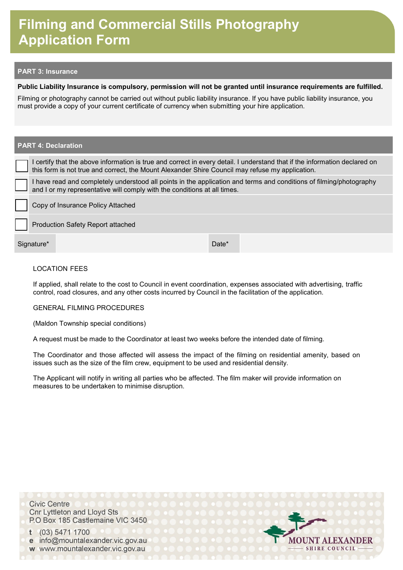# **Film Making and Commercial Stills Filming and Commercial Stills Photography Photography Application Form Application Form**

## **PART 3: Insurance**

## **Public Liability Insurance is compulsory, permission will not be granted until insurance requirements are fulfilled.**

Filming or photography cannot be carried out without public liability insurance. If you have public liability insurance, you must provide a copy of your current certificate of currency when submitting your hire application.

## **PART 4: Declaration**

I certify that the above information is true and correct in every detail. I understand that if the information declared on this form is not true and correct, the Mount Alexander Shire Council may refuse my application.

I have read and completely understood all points in the application and terms and conditions of filming/photography and I or my representative will comply with the conditions at all times.

Copy of Insurance Policy Attached

Production Safety Report attached

Signature\* Date **No. 2018** 

## LOCATION FEES

If applied, shall relate to the cost to Council in event coordination, expenses associated with advertising, traffic control, road closures, and any other costs incurred by Council in the facilitation of the application.

#### GENERAL FILMING PROCEDURES

(Maldon Township special conditions)

A request must be made to the Coordinator at least two weeks before the intended date of filming.

The Coordinator and those affected will assess the impact of the filming on residential amenity, based on issues such as the size of the film crew, equipment to be used and residential density.

The Applicant will notify in writing all parties who be affected. The film maker will provide information on measures to be undertaken to minimise disruption.

**Civic Centre Cnr Lyttleton and Lloyd Sts** P.O Box 185 Castlemaine VIC 3450

(03) 5471 1700 t e info@mountalexander.vic.gov.au w www.mountalexander.vic.gov.au